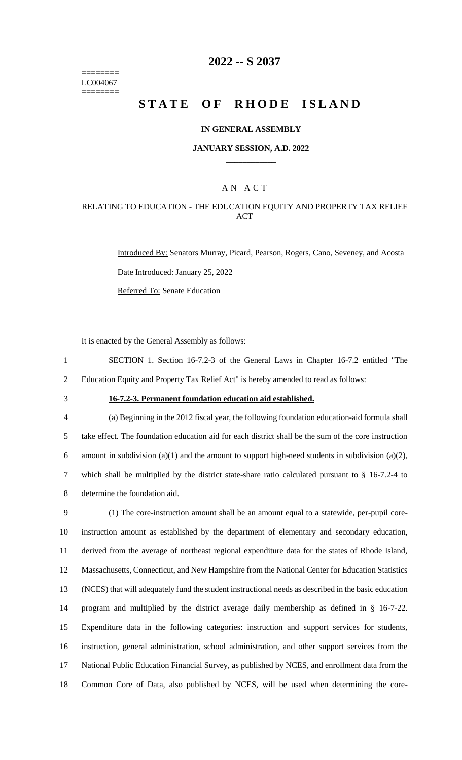======== LC004067 ========

## **2022 -- S 2037**

# **STATE OF RHODE ISLAND**

#### **IN GENERAL ASSEMBLY**

#### **JANUARY SESSION, A.D. 2022 \_\_\_\_\_\_\_\_\_\_\_\_**

### A N A C T

### RELATING TO EDUCATION - THE EDUCATION EQUITY AND PROPERTY TAX RELIEF ACT

Introduced By: Senators Murray, Picard, Pearson, Rogers, Cano, Seveney, and Acosta Date Introduced: January 25, 2022 Referred To: Senate Education

It is enacted by the General Assembly as follows:

1 SECTION 1. Section 16-7.2-3 of the General Laws in Chapter 16-7.2 entitled "The 2 Education Equity and Property Tax Relief Act" is hereby amended to read as follows:

## 3 **16-7.2-3. Permanent foundation education aid established.**

 (a) Beginning in the 2012 fiscal year, the following foundation education-aid formula shall take effect. The foundation education aid for each district shall be the sum of the core instruction 6 amount in subdivision (a)(1) and the amount to support high-need students in subdivision (a)(2), which shall be multiplied by the district state-share ratio calculated pursuant to § 16-7.2-4 to determine the foundation aid.

 (1) The core-instruction amount shall be an amount equal to a statewide, per-pupil core- instruction amount as established by the department of elementary and secondary education, derived from the average of northeast regional expenditure data for the states of Rhode Island, Massachusetts, Connecticut, and New Hampshire from the National Center for Education Statistics (NCES) that will adequately fund the student instructional needs as described in the basic education program and multiplied by the district average daily membership as defined in § 16-7-22. Expenditure data in the following categories: instruction and support services for students, instruction, general administration, school administration, and other support services from the National Public Education Financial Survey, as published by NCES, and enrollment data from the Common Core of Data, also published by NCES, will be used when determining the core-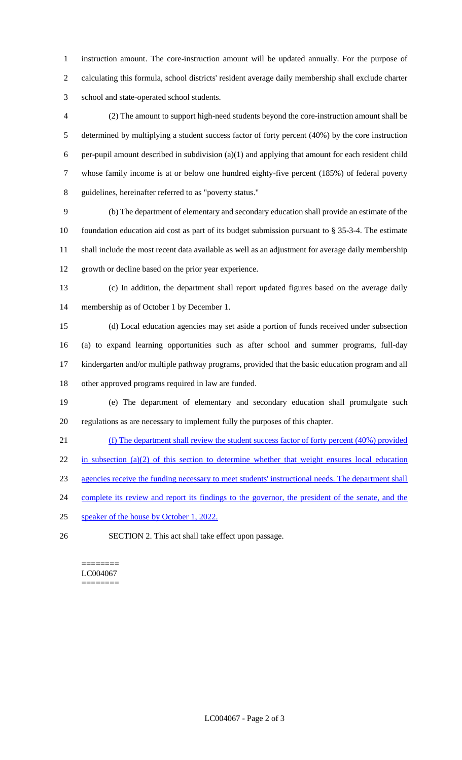instruction amount. The core-instruction amount will be updated annually. For the purpose of calculating this formula, school districts' resident average daily membership shall exclude charter school and state-operated school students.

 (2) The amount to support high-need students beyond the core-instruction amount shall be determined by multiplying a student success factor of forty percent (40%) by the core instruction per-pupil amount described in subdivision (a)(1) and applying that amount for each resident child whose family income is at or below one hundred eighty-five percent (185%) of federal poverty guidelines, hereinafter referred to as "poverty status."

 (b) The department of elementary and secondary education shall provide an estimate of the foundation education aid cost as part of its budget submission pursuant to § 35-3-4. The estimate shall include the most recent data available as well as an adjustment for average daily membership growth or decline based on the prior year experience.

 (c) In addition, the department shall report updated figures based on the average daily membership as of October 1 by December 1.

 (d) Local education agencies may set aside a portion of funds received under subsection (a) to expand learning opportunities such as after school and summer programs, full-day kindergarten and/or multiple pathway programs, provided that the basic education program and all other approved programs required in law are funded.

 (e) The department of elementary and secondary education shall promulgate such regulations as are necessary to implement fully the purposes of this chapter.

(f) The department shall review the student success factor of forty percent (40%) provided

22 in subsection (a)(2) of this section to determine whether that weight ensures local education

agencies receive the funding necessary to meet students' instructional needs. The department shall

24 complete its review and report its findings to the governor, the president of the senate, and the

25 speaker of the house by October 1, 2022.

SECTION 2. This act shall take effect upon passage.

#### ======== LC004067 ========